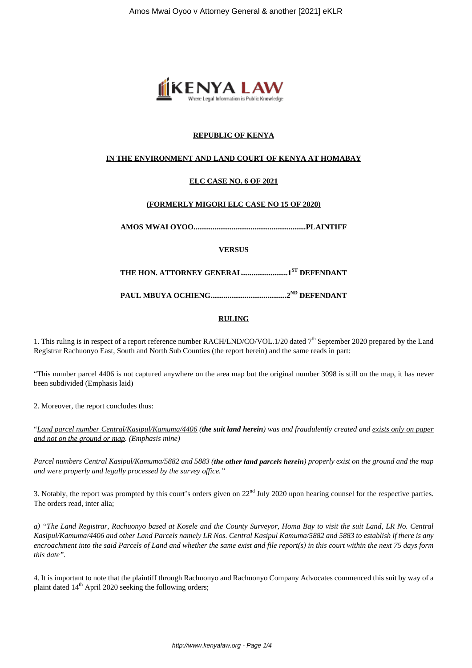

# **REPUBLIC OF KENYA**

### **IN THE ENVIRONMENT AND LAND COURT OF KENYA AT HOMABAY**

# **ELC CASE NO. 6 OF 2021**

#### **(FORMERLY MIGORI ELC CASE NO 15 OF 2020)**

**AMOS MWAI OYOO...........................................................PLAINTIFF**

**VERSUS**

**THE HON. ATTORNEY GENERAL........................1ST DEFENDANT**

**PAUL MBUYA OCHIENG........................................2ND DEFENDANT**

#### **RULING**

1. This ruling is in respect of a report reference number RACH/LND/CO/VOL.1/20 dated 7<sup>th</sup> September 2020 prepared by the Land Registrar Rachuonyo East, South and North Sub Counties (the report herein) and the same reads in part:

"This number parcel 4406 is not captured anywhere on the area map but the original number 3098 is still on the map, it has never been subdivided (Emphasis laid)

2. Moreover, the report concludes thus:

"*Land parcel number Central/Kasipul/Kamuma/4406 (the suit land herein) was and fraudulently created and exists only on paper and not on the ground or map. (Emphasis mine)*

*Parcel numbers Central Kasipul/Kamuma/5882 and 5883 (the other land parcels herein) properly exist on the ground and the map and were properly and legally processed by the survey office."*

3. Notably, the report was prompted by this court's orders given on 22<sup>nd</sup> July 2020 upon hearing counsel for the respective parties. The orders read, inter alia;

*a) "The Land Registrar, Rachuonyo based at Kosele and the County Surveyor, Homa Bay to visit the suit Land, LR No. Central Kasipul/Kamuma/4406 and other Land Parcels namely LR Nos. Central Kasipul Kamuma/5882 and 5883 to establish if there is any encroachment into the said Parcels of Land and whether the same exist and file report(s) in this court within the next 75 days form this date".*

4. It is important to note that the plaintiff through Rachuonyo and Rachuonyo Company Advocates commenced this suit by way of a plaint dated  $14<sup>th</sup>$  April 2020 seeking the following orders;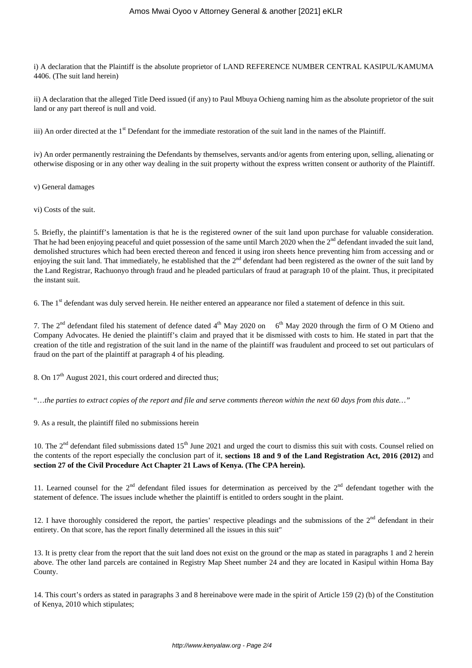i) A declaration that the Plaintiff is the absolute proprietor of LAND REFERENCE NUMBER CENTRAL KASIPUL/KAMUMA 4406. (The suit land herein)

ii) A declaration that the alleged Title Deed issued (if any) to Paul Mbuya Ochieng naming him as the absolute proprietor of the suit land or any part thereof is null and void.

iii) An order directed at the 1<sup>st</sup> Defendant for the immediate restoration of the suit land in the names of the Plaintiff.

iv) An order permanently restraining the Defendants by themselves, servants and/or agents from entering upon, selling, alienating or otherwise disposing or in any other way dealing in the suit property without the express written consent or authority of the Plaintiff.

v) General damages

vi) Costs of the suit.

5. Briefly, the plaintiff's lamentation is that he is the registered owner of the suit land upon purchase for valuable consideration. That he had been enjoying peaceful and quiet possession of the same until March 2020 when the  $2<sup>nd</sup>$  defendant invaded the suit land, demolished structures which had been erected thereon and fenced it using iron sheets hence preventing him from accessing and or enjoying the suit land. That immediately, he established that the  $2<sup>nd</sup>$  defendant had been registered as the owner of the suit land by the Land Registrar, Rachuonyo through fraud and he pleaded particulars of fraud at paragraph 10 of the plaint. Thus, it precipitated the instant suit.

6. The 1st defendant was duly served herein. He neither entered an appearance nor filed a statement of defence in this suit.

7. The  $2^{nd}$  defendant filed his statement of defence dated  $4^{th}$  May 2020 on 6<sup>th</sup> May 2020 through the firm of O M Otieno and Company Advocates. He denied the plaintiff's claim and prayed that it be dismissed with costs to him. He stated in part that the creation of the title and registration of the suit land in the name of the plaintiff was fraudulent and proceed to set out particulars of fraud on the part of the plaintiff at paragraph 4 of his pleading.

8. On 17<sup>th</sup> August 2021, this court ordered and directed thus;

"…*the parties to extract copies of the report and file and serve comments thereon within the next 60 days from this date…"*

9. As a result, the plaintiff filed no submissions herein

10. The  $2<sup>nd</sup>$  defendant filed submissions dated  $15<sup>th</sup>$  June 2021 and urged the court to dismiss this suit with costs. Counsel relied on the contents of the report especially the conclusion part of it, **sections 18 and 9 of the Land Registration Act, 2016 (2012)** and **section 27 of the Civil Procedure Act Chapter 21 Laws of Kenya. (The CPA herein).**

11. Learned counsel for the  $2^{nd}$  defendant filed issues for determination as perceived by the  $2^{nd}$  defendant together with the statement of defence. The issues include whether the plaintiff is entitled to orders sought in the plaint.

12. I have thoroughly considered the report, the parties' respective pleadings and the submissions of the  $2<sup>nd</sup>$  defendant in their entirety. On that score, has the report finally determined all the issues in this suit"

13. It is pretty clear from the report that the suit land does not exist on the ground or the map as stated in paragraphs 1 and 2 herein above. The other land parcels are contained in Registry Map Sheet number 24 and they are located in Kasipul within Homa Bay County.

14. This court's orders as stated in paragraphs 3 and 8 hereinabove were made in the spirit of Article 159 (2) (b) of the Constitution of Kenya, 2010 which stipulates;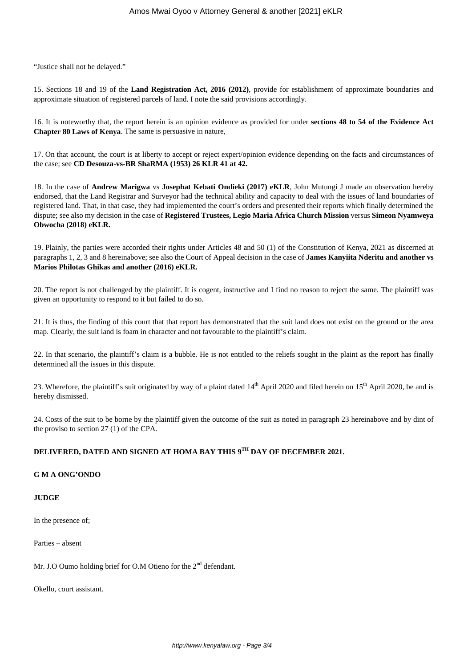"Justice shall not be delayed."

15. Sections 18 and 19 of the **Land Registration Act, 2016 (2012)**, provide for establishment of approximate boundaries and approximate situation of registered parcels of land. I note the said provisions accordingly.

16. It is noteworthy that, the report herein is an opinion evidence as provided for under **sections 48 to 54 of the Evidence Act Chapter 80 Laws of Kenya**. The same is persuasive in nature,

17. On that account, the court is at liberty to accept or reject expert/opinion evidence depending on the facts and circumstances of the case; see **CD Desouza-vs-BR ShaRMA (1953) 26 KLR 41 at 42.**

18. In the case of **Andrew Marigwa** vs **Josephat Kebati Ondieki (2017) eKLR**, John Mutungi J made an observation hereby endorsed, that the Land Registrar and Surveyor had the technical ability and capacity to deal with the issues of land boundaries of registered land. That, in that case, they had implemented the court's orders and presented their reports which finally determined the dispute; see also my decision in the case of **Registered Trustees, Legio Maria Africa Church Mission** versus **Simeon Nyamweya Obwocha (2018) eKLR.**

19. Plainly, the parties were accorded their rights under Articles 48 and 50 (1) of the Constitution of Kenya, 2021 as discerned at paragraphs 1, 2, 3 and 8 hereinabove; see also the Court of Appeal decision in the case of **James Kanyiita Nderitu and another vs Marios Philotas Ghikas and another (2016) eKLR.**

20. The report is not challenged by the plaintiff. It is cogent, instructive and I find no reason to reject the same. The plaintiff was given an opportunity to respond to it but failed to do so.

21. It is thus, the finding of this court that that report has demonstrated that the suit land does not exist on the ground or the area map. Clearly, the suit land is foam in character and not favourable to the plaintiff's claim.

22. In that scenario, the plaintiff's claim is a bubble. He is not entitled to the reliefs sought in the plaint as the report has finally determined all the issues in this dispute.

23. Wherefore, the plaintiff's suit originated by way of a plaint dated 14<sup>th</sup> April 2020 and filed herein on 15<sup>th</sup> April 2020, be and is hereby dismissed.

24. Costs of the suit to be borne by the plaintiff given the outcome of the suit as noted in paragraph 23 hereinabove and by dint of the proviso to section 27 (1) of the CPA.

# **DELIVERED, DATED AND SIGNED AT HOMA BAY THIS 9TH DAY OF DECEMBER 2021.**

#### **G M A ONG'ONDO**

#### **JUDGE**

In the presence of;

Parties – absent

Mr. J.O Oumo holding brief for O.M Otieno for the 2<sup>nd</sup> defendant.

Okello, court assistant.